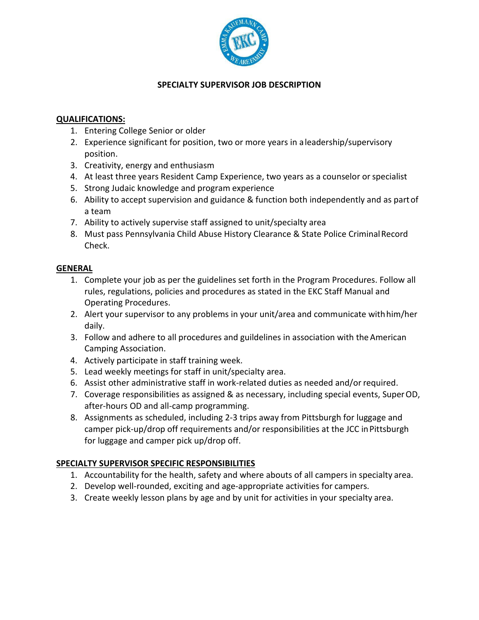

## **SPECIALTY SUPERVISOR JOB DESCRIPTION**

## **QUALIFICATIONS:**

- 1. Entering College Senior or older
- 2. Experience significant for position, two or more years in aleadership/supervisory position.
- 3. Creativity, energy and enthusiasm
- 4. At least three years Resident Camp Experience, two years as a counselor orspecialist
- 5. Strong Judaic knowledge and program experience
- 6. Ability to accept supervision and guidance & function both independently and as partof a team
- 7. Ability to actively supervise staff assigned to unit/specialty area
- 8. Must pass Pennsylvania Child Abuse History Clearance & State Police CriminalRecord Check.

## **GENERAL**

- 1. Complete your job as per the guidelines set forth in the Program Procedures. Follow all rules, regulations, policies and procedures as stated in the EKC Staff Manual and Operating Procedures.
- 2. Alert your supervisor to any problems in your unit/area and communicate withhim/her daily.
- 3. Follow and adhere to all procedures and guildelines in association with theAmerican Camping Association.
- 4. Actively participate in staff training week.
- 5. Lead weekly meetings for staff in unit/specialty area.
- 6. Assist other administrative staff in work-related duties as needed and/or required.
- 7. Coverage responsibilities as assigned & as necessary, including special events, SuperOD, after-hours OD and all-camp programming.
- 8. Assignments as scheduled, including 2-3 trips away from Pittsburgh for luggage and camper pick-up/drop off requirements and/or responsibilities at the JCC inPittsburgh for luggage and camper pick up/drop off.

## **SPECIALTY SUPERVISOR SPECIFIC RESPONSIBILITIES**

- 1. Accountability for the health, safety and where abouts of all campers in specialty area.
- 2. Develop well-rounded, exciting and age-appropriate activities for campers.
- 3. Create weekly lesson plans by age and by unit for activities in your specialty area.